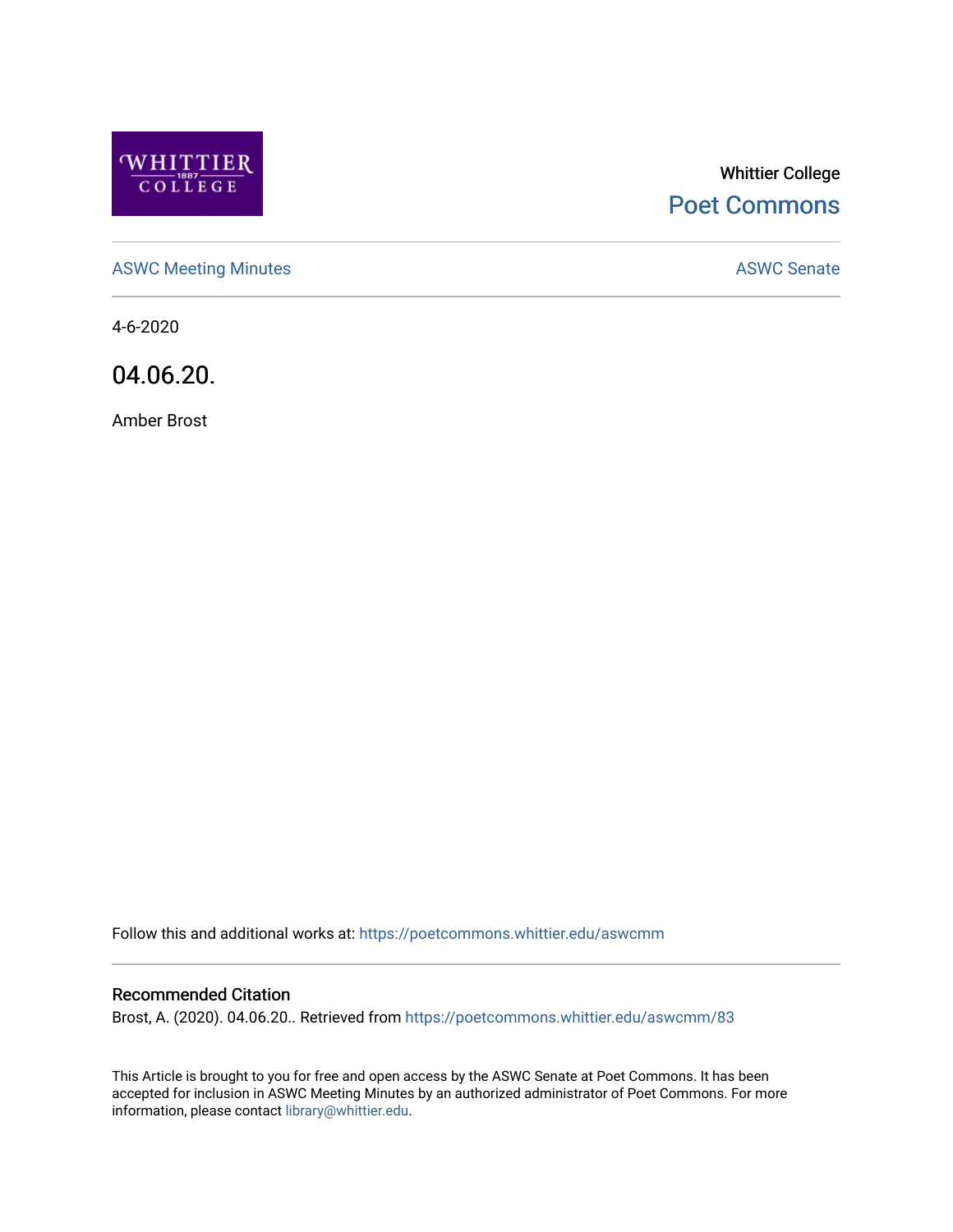

# Whittier College [Poet Commons](https://poetcommons.whittier.edu/)

[ASWC Meeting Minutes](https://poetcommons.whittier.edu/aswcmm) **ASWC Senate** 

4-6-2020

04.06.20.

Amber Brost

Follow this and additional works at: [https://poetcommons.whittier.edu/aswcmm](https://poetcommons.whittier.edu/aswcmm?utm_source=poetcommons.whittier.edu%2Faswcmm%2F83&utm_medium=PDF&utm_campaign=PDFCoverPages)

#### Recommended Citation

Brost, A. (2020). 04.06.20.. Retrieved from [https://poetcommons.whittier.edu/aswcmm/83](https://poetcommons.whittier.edu/aswcmm/83?utm_source=poetcommons.whittier.edu%2Faswcmm%2F83&utm_medium=PDF&utm_campaign=PDFCoverPages)

This Article is brought to you for free and open access by the ASWC Senate at Poet Commons. It has been accepted for inclusion in ASWC Meeting Minutes by an authorized administrator of Poet Commons. For more information, please contact [library@whittier.edu.](mailto:library@whittier.edu)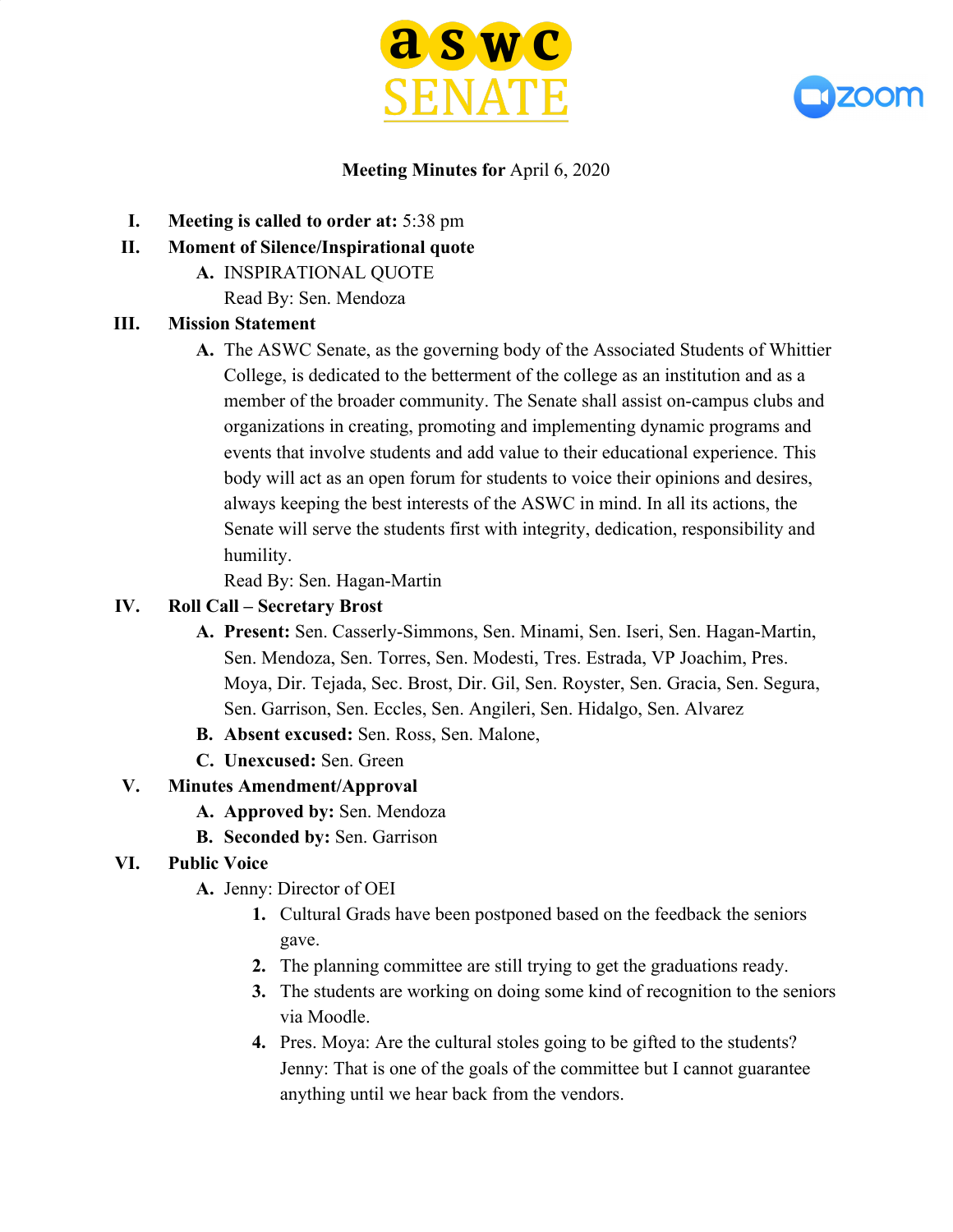



### **Meeting Minutes for** April 6, 2020

- **I. Meeting is called to order at:** 5:38 pm
- **II. Moment of Silence/Inspirational quote**
	- **A.** INSPIRATIONAL QUOTE
		- Read By: Sen. Mendoza

#### **III. Mission Statement**

**A.** The ASWC Senate, as the governing body of the Associated Students of Whittier College, is dedicated to the betterment of the college as an institution and as a member of the broader community. The Senate shall assist on-campus clubs and organizations in creating, promoting and implementing dynamic programs and events that involve students and add value to their educational experience. This body will act as an open forum for students to voice their opinions and desires, always keeping the best interests of the ASWC in mind. In all its actions, the Senate will serve the students first with integrity, dedication, responsibility and humility.

Read By: Sen. Hagan-Martin

### **IV. Roll Call – Secretary Brost**

- **A. Present:** Sen. Casserly-Simmons, Sen. Minami, Sen. Iseri, Sen. Hagan-Martin, Sen. Mendoza, Sen. Torres, Sen. Modesti, Tres. Estrada, VP Joachim, Pres. Moya, Dir. Tejada, Sec. Brost, Dir. Gil, Sen. Royster, Sen. Gracia, Sen. Segura, Sen. Garrison, Sen. Eccles, Sen. Angileri, Sen. Hidalgo, Sen. Alvarez
- **B. Absent excused:** Sen. Ross, Sen. Malone,
- **C. Unexcused:** Sen. Green

### **V. Minutes Amendment/Approval**

- **A. Approved by:** Sen. Mendoza
- **B. Seconded by:** Sen. Garrison
- **VI. Public Voice**
	- **A.** Jenny: Director of OEI
		- **1.** Cultural Grads have been postponed based on the feedback the seniors gave.
		- **2.** The planning committee are still trying to get the graduations ready.
		- **3.** The students are working on doing some kind of recognition to the seniors via Moodle.
		- **4.** Pres. Moya: Are the cultural stoles going to be gifted to the students? Jenny: That is one of the goals of the committee but I cannot guarantee anything until we hear back from the vendors.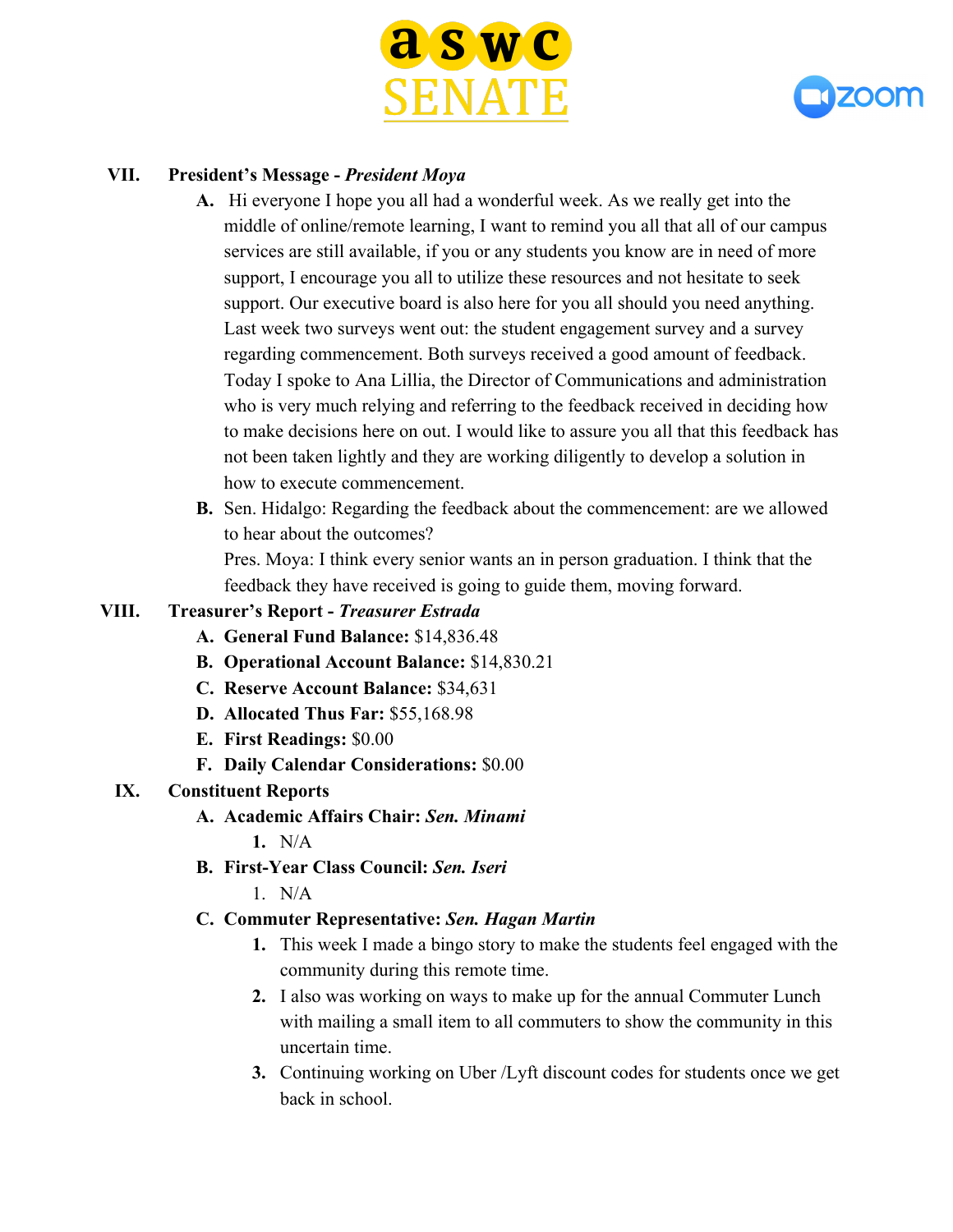



### **VII. President's Message -** *President Moya*

- **A.** Hi everyone I hope you all had a wonderful week. As we really get into the middle of online/remote learning, I want to remind you all that all of our campus services are still available, if you or any students you know are in need of more support, I encourage you all to utilize these resources and not hesitate to seek support. Our executive board is also here for you all should you need anything. Last week two surveys went out: the student engagement survey and a survey regarding commencement. Both surveys received a good amount of feedback. Today I spoke to Ana Lillia, the Director of Communications and administration who is very much relying and referring to the feedback received in deciding how to make decisions here on out. I would like to assure you all that this feedback has not been taken lightly and they are working diligently to develop a solution in how to execute commencement.
- **B.** Sen. Hidalgo: Regarding the feedback about the commencement: are we allowed to hear about the outcomes?

Pres. Moya: I think every senior wants an in person graduation. I think that the feedback they have received is going to guide them, moving forward.

### **VIII. Treasurer's Report -** *Treasurer Estrada*

- **A. General Fund Balance:** \$14,836.48
- **B. Operational Account Balance:** \$14,830.21
- **C. Reserve Account Balance:** \$34,631
- **D. Allocated Thus Far:** \$55,168.98
- **E. First Readings:** \$0.00
- **F. Daily Calendar Considerations:** \$0.00

# **IX. Constituent Reports**

- **A. Academic Affairs Chair:** *Sen. Minami*
	- **1.** N/A
- **B. First-Year Class Council:** *Sen. Iseri*
	- $1$  N/A

# **C. Commuter Representative:** *Sen. Hagan Martin*

- **1.** This week I made a bingo story to make the students feel engaged with the community during this remote time.
- **2.** I also was working on ways to make up for the annual Commuter Lunch with mailing a small item to all commuters to show the community in this uncertain time.
- **3.** Continuing working on Uber /Lyft discount codes for students once we get back in school.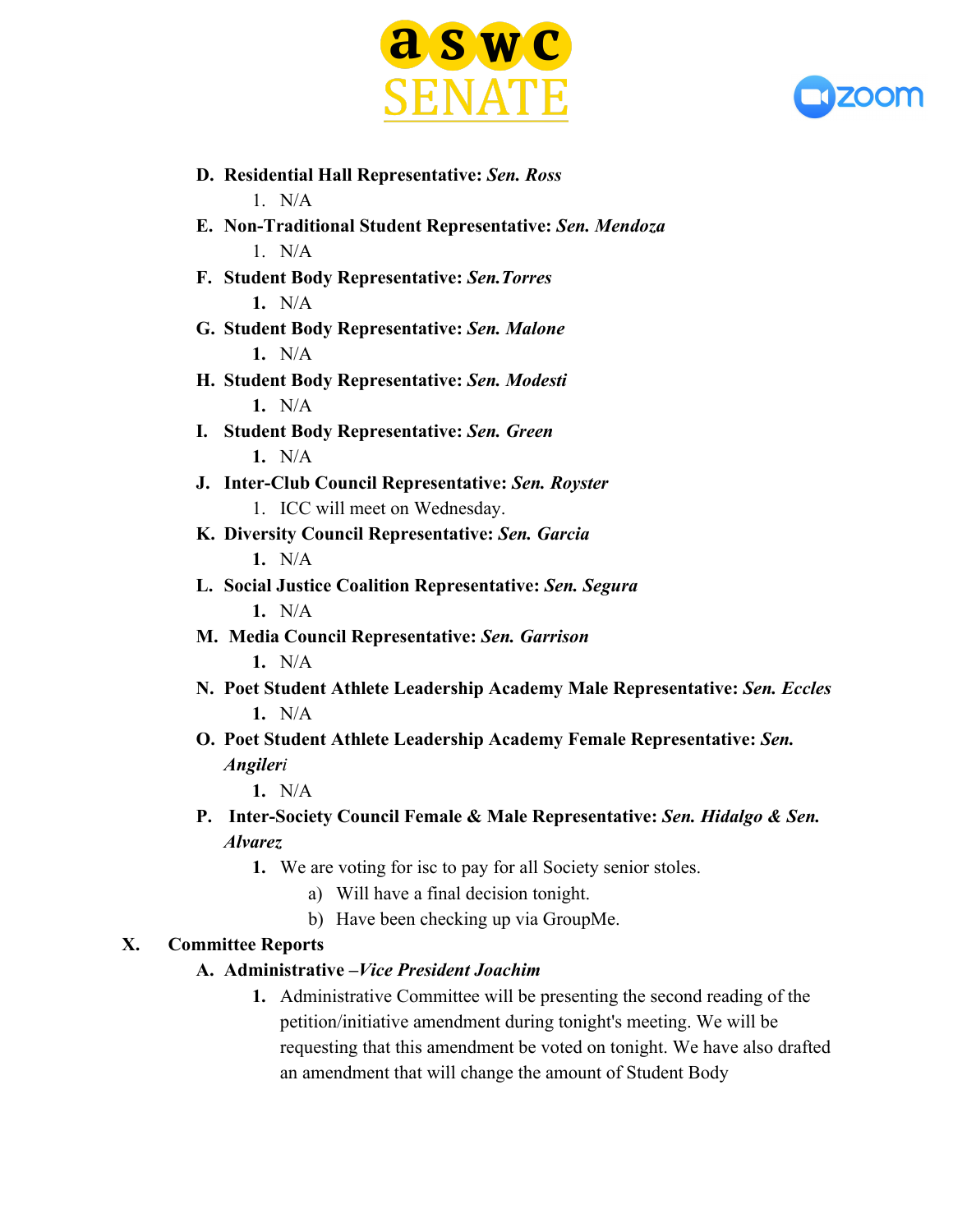



- **D. Residential Hall Representative:** *Sen. Ross*  $1$  N/A
- **E. Non-Traditional Student Representative:** *Sen. Mendoza*  $1$  N/A
- **F. Student Body Representative:** *Sen.Torres* **1.** N/A
- **G. Student Body Representative:** *Sen. Malone* **1.** N/A
- **H. Student Body Representative:** *Sen. Modesti* **1.** N/A
- **I. Student Body Representative:** *Sen. Green* **1.** N/A
- **J. Inter-Club Council Representative:** *Sen. Royster* 1. ICC will meet on Wednesday.
- **K. Diversity Council Representative:** *Sen. Garcia* **1.** N/A
- **L. Social Justice Coalition Representative:** *Sen. Segura* **1.** N/A
- **M. Media Council Representative:** *Sen. Garrison* **1.** N/A
- **N. Poet Student Athlete Leadership Academy Male Representative:** *Sen. Eccles* **1.** N/A
- **O. Poet Student Athlete Leadership Academy Female Representative:** *Sen. Angileri*

**1.** N/A

- **P. Inter-Society Council Female & Male Representative:** *Sen. Hidalgo & Sen. Alvarez*
	- **1.** We are voting for isc to pay for all Society senior stoles.
		- a) Will have a final decision tonight.
		- b) Have been checking up via GroupMe.

# **X. Committee Reports**

# **A. Administrative –***Vice President Joachim*

**1.** Administrative Committee will be presenting the second reading of the petition/initiative amendment during tonight's meeting. We will be requesting that this amendment be voted on tonight. We have also drafted an amendment that will change the amount of Student Body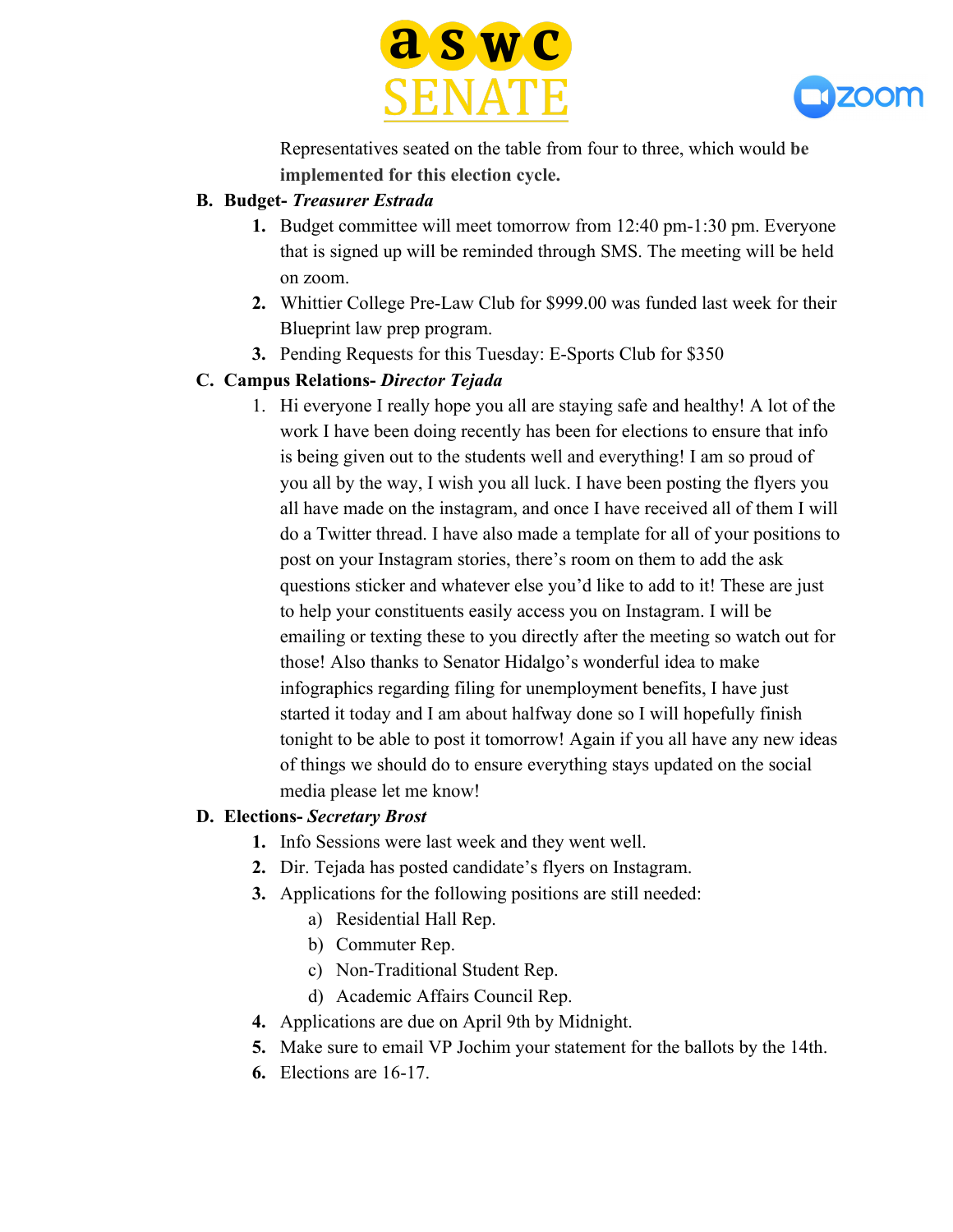



Representatives seated on the table from four to three, which would **be implemented for this election cycle.**

### **B. Budget-** *Treasurer Estrada*

- **1.** Budget committee will meet tomorrow from 12:40 pm-1:30 pm. Everyone that is signed up will be reminded through SMS. The meeting will be held on zoom.
- **2.** Whittier College Pre-Law Club for \$999.00 was funded last week for their Blueprint law prep program.
- **3.** Pending Requests for this Tuesday: E-Sports Club for \$350

# **C. Campus Relations-** *Director Tejada*

1. Hi everyone I really hope you all are staying safe and healthy! A lot of the work I have been doing recently has been for elections to ensure that info is being given out to the students well and everything! I am so proud of you all by the way, I wish you all luck. I have been posting the flyers you all have made on the instagram, and once I have received all of them I will do a Twitter thread. I have also made a template for all of your positions to post on your Instagram stories, there's room on them to add the ask questions sticker and whatever else you'd like to add to it! These are just to help your constituents easily access you on Instagram. I will be emailing or texting these to you directly after the meeting so watch out for those! Also thanks to Senator Hidalgo's wonderful idea to make infographics regarding filing for unemployment benefits, I have just started it today and I am about halfway done so I will hopefully finish tonight to be able to post it tomorrow! Again if you all have any new ideas of things we should do to ensure everything stays updated on the social media please let me know!

### **D. Elections-** *Secretary Brost*

- **1.** Info Sessions were last week and they went well.
- **2.** Dir. Tejada has posted candidate's flyers on Instagram.
- **3.** Applications for the following positions are still needed:
	- a) Residential Hall Rep.
	- b) Commuter Rep.
	- c) Non-Traditional Student Rep.
	- d) Academic Affairs Council Rep.
- **4.** Applications are due on April 9th by Midnight.
- **5.** Make sure to email VP Jochim your statement for the ballots by the 14th.
- **6.** Elections are 16-17.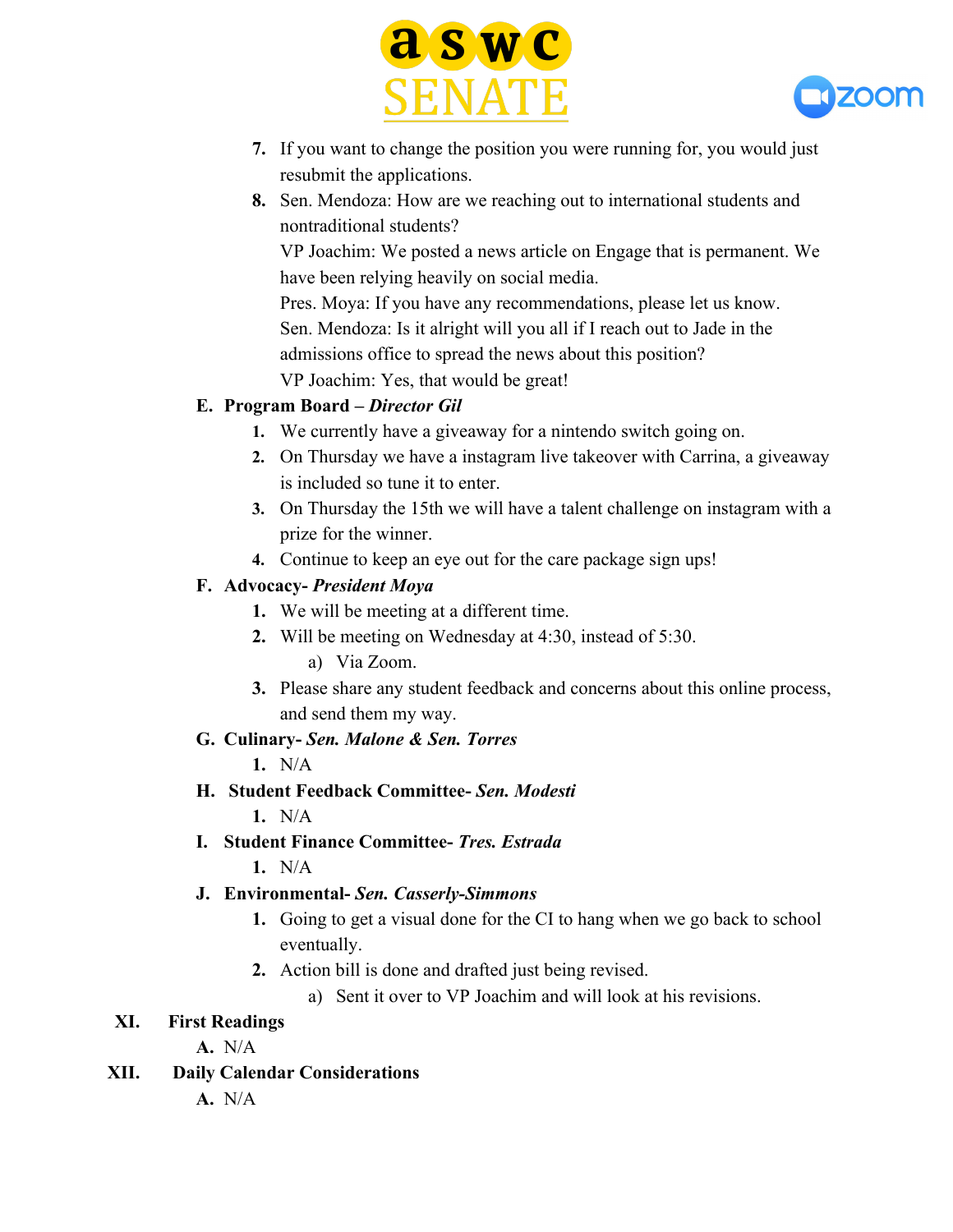



- **7.** If you want to change the position you were running for, you would just resubmit the applications.
- **8.** Sen. Mendoza: How are we reaching out to international students and nontraditional students?

VP Joachim: We posted a news article on Engage that is permanent. We have been relying heavily on social media.

Pres. Moya: If you have any recommendations, please let us know. Sen. Mendoza: Is it alright will you all if I reach out to Jade in the admissions office to spread the news about this position? VP Joachim: Yes, that would be great!

### **E. Program Board –** *Director Gil*

- **1.** We currently have a giveaway for a nintendo switch going on.
- **2.** On Thursday we have a instagram live takeover with Carrina, a giveaway is included so tune it to enter.
- **3.** On Thursday the 15th we will have a talent challenge on instagram with a prize for the winner.
- **4.** Continue to keep an eye out for the care package sign ups!

### **F. Advocacy-** *President Moya*

- **1.** We will be meeting at a different time.
- **2.** Will be meeting on Wednesday at 4:30, instead of 5:30.
	- a) Via Zoom.
- **3.** Please share any student feedback and concerns about this online process, and send them my way.

# **G. Culinary-** *Sen. Malone & Sen. Torres*

- **1.** N/A
- **H. Student Feedback Committee-** *Sen. Modesti*
	- **1.** N/A
- **I. Student Finance Committee-** *Tres. Estrada*
	- **1.** N/A

# **J. Environmental-** *Sen. Casserly-Simmons*

- **1.** Going to get a visual done for the CI to hang when we go back to school eventually.
- **2.** Action bill is done and drafted just being revised.
	- a) Sent it over to VP Joachim and will look at his revisions.

# **XI. First Readings**

**A.** N/A

# **XII. Daily Calendar Considerations**

**A.** N/A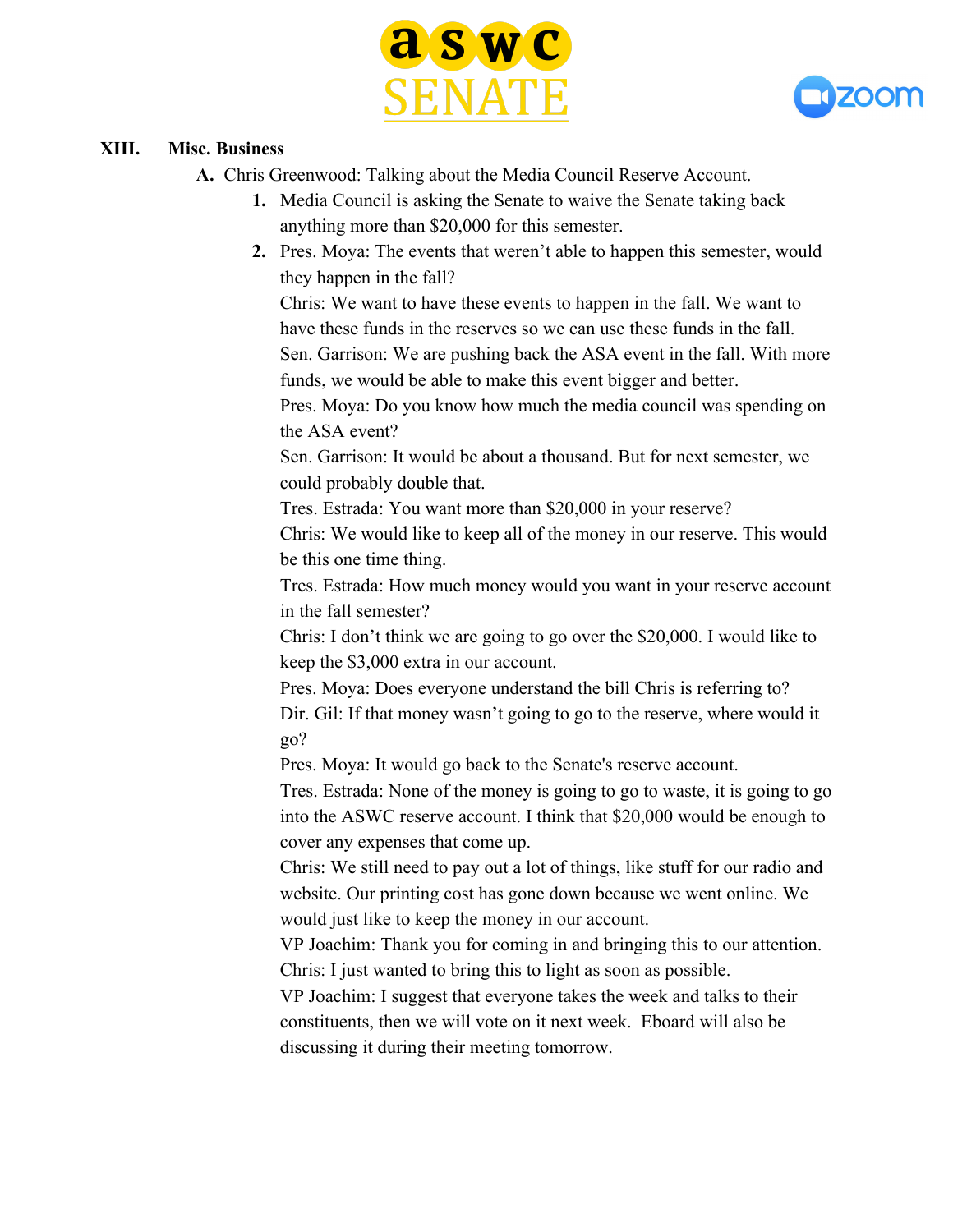



#### **XIII. Misc. Business**

**A.** Chris Greenwood: Talking about the Media Council Reserve Account.

- **1.** Media Council is asking the Senate to waive the Senate taking back anything more than \$20,000 for this semester.
- **2.** Pres. Moya: The events that weren't able to happen this semester, would they happen in the fall?

Chris: We want to have these events to happen in the fall. We want to have these funds in the reserves so we can use these funds in the fall. Sen. Garrison: We are pushing back the ASA event in the fall. With more funds, we would be able to make this event bigger and better.

Pres. Moya: Do you know how much the media council was spending on the ASA event?

Sen. Garrison: It would be about a thousand. But for next semester, we could probably double that.

Tres. Estrada: You want more than \$20,000 in your reserve?

Chris: We would like to keep all of the money in our reserve. This would be this one time thing.

Tres. Estrada: How much money would you want in your reserve account in the fall semester?

Chris: I don't think we are going to go over the \$20,000. I would like to keep the \$3,000 extra in our account.

Pres. Moya: Does everyone understand the bill Chris is referring to? Dir. Gil: If that money wasn't going to go to the reserve, where would it go?

Pres. Moya: It would go back to the Senate's reserve account.

Tres. Estrada: None of the money is going to go to waste, it is going to go into the ASWC reserve account. I think that \$20,000 would be enough to cover any expenses that come up.

Chris: We still need to pay out a lot of things, like stuff for our radio and website. Our printing cost has gone down because we went online. We would just like to keep the money in our account.

VP Joachim: Thank you for coming in and bringing this to our attention. Chris: I just wanted to bring this to light as soon as possible.

VP Joachim: I suggest that everyone takes the week and talks to their constituents, then we will vote on it next week. Eboard will also be discussing it during their meeting tomorrow.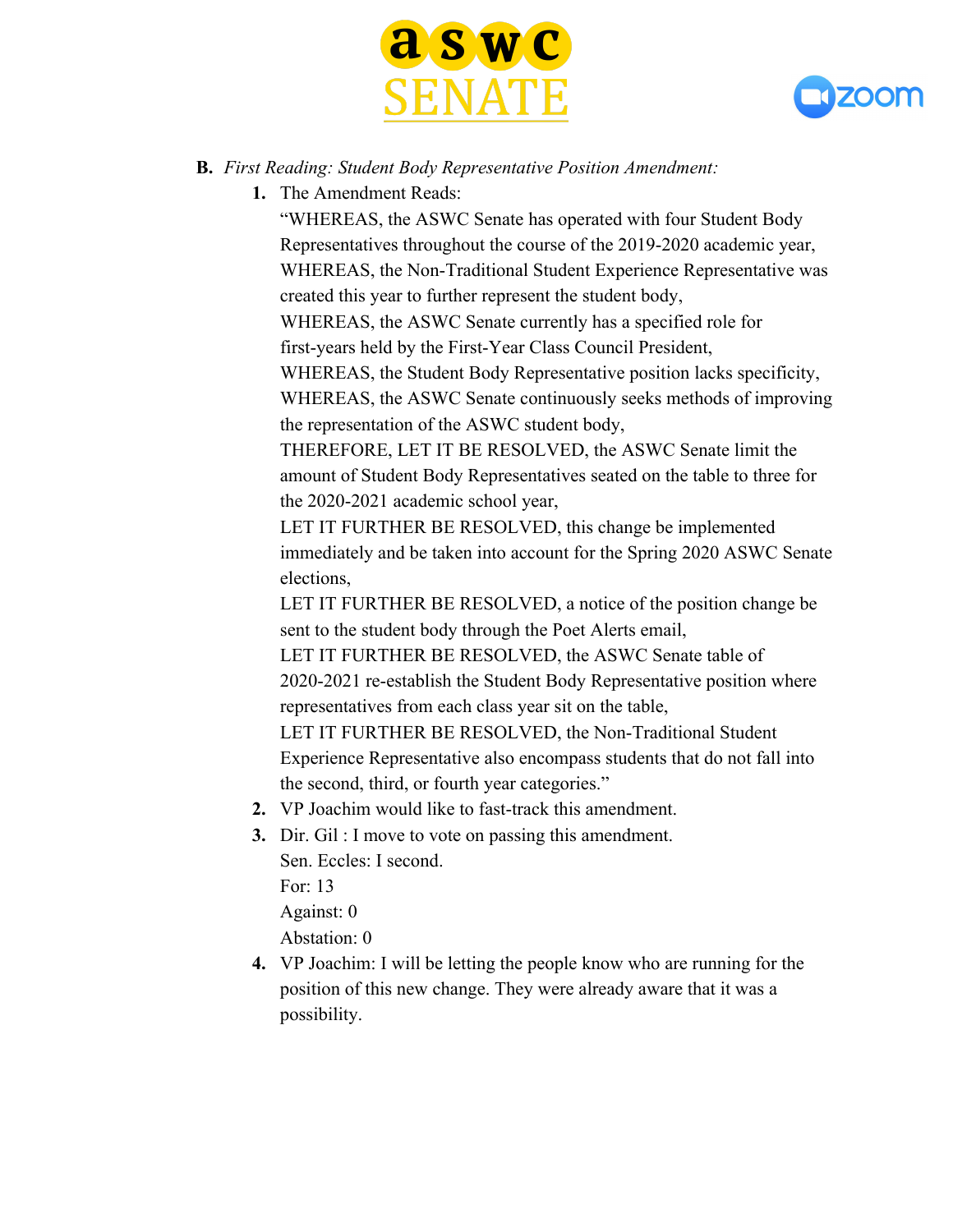



#### **B.** *First Reading: Student Body Representative Position Amendment:*

**1.** The Amendment Reads:

"WHEREAS, the ASWC Senate has operated with four Student Body Representatives throughout the course of the 2019-2020 academic year, WHEREAS, the Non-Traditional Student Experience Representative was created this year to further represent the student body,

WHEREAS, the ASWC Senate currently has a specified role for first-years held by the First-Year Class Council President,

WHEREAS, the Student Body Representative position lacks specificity, WHEREAS, the ASWC Senate continuously seeks methods of improving the representation of the ASWC student body,

THEREFORE, LET IT BE RESOLVED, the ASWC Senate limit the amount of Student Body Representatives seated on the table to three for the 2020-2021 academic school year,

LET IT FURTHER BE RESOLVED, this change be implemented immediately and be taken into account for the Spring 2020 ASWC Senate elections,

LET IT FURTHER BE RESOLVED, a notice of the position change be sent to the student body through the Poet Alerts email,

LET IT FURTHER BE RESOLVED, the ASWC Senate table of 2020-2021 re-establish the Student Body Representative position where representatives from each class year sit on the table,

LET IT FURTHER BE RESOLVED, the Non-Traditional Student Experience Representative also encompass students that do not fall into the second, third, or fourth year categories."

- **2.** VP Joachim would like to fast-track this amendment.
- **3.** Dir. Gil : I move to vote on passing this amendment. Sen. Eccles: I second. For: 13 Against: 0 Abstation: 0
- **4.** VP Joachim: I will be letting the people know who are running for the position of this new change. They were already aware that it was a possibility.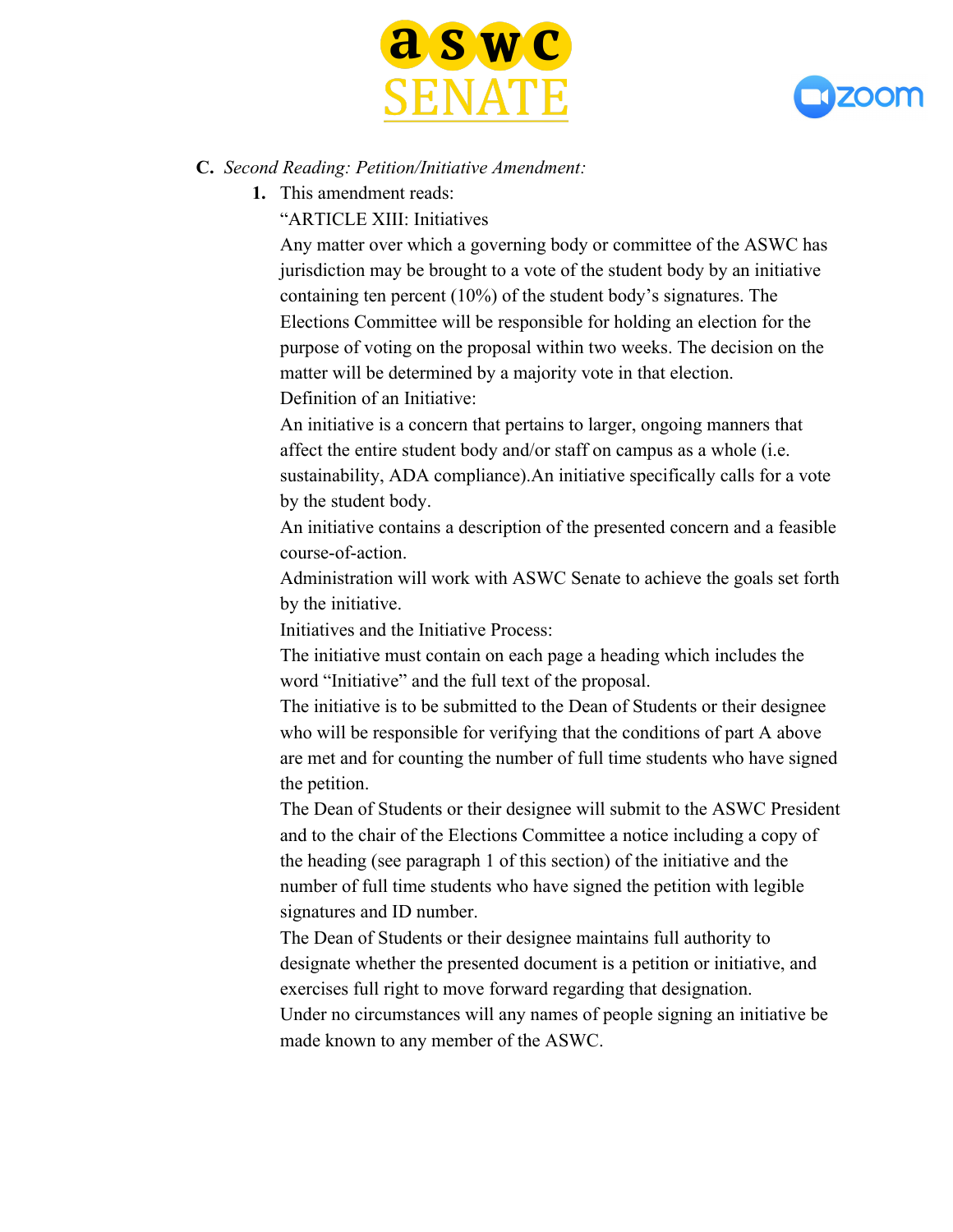



#### **C.** *Second Reading: Petition/Initiative Amendment:*

**1.** This amendment reads:

"ARTICLE XIII: Initiatives

Any matter over which a governing body or committee of the ASWC has jurisdiction may be brought to a vote of the student body by an initiative containing ten percent (10%) of the student body's signatures. The Elections Committee will be responsible for holding an election for the purpose of voting on the proposal within two weeks. The decision on the matter will be determined by a majority vote in that election. Definition of an Initiative:

An initiative is a concern that pertains to larger, ongoing manners that affect the entire student body and/or staff on campus as a whole (i.e. sustainability, ADA compliance).An initiative specifically calls for a vote by the student body.

An initiative contains a description of the presented concern and a feasible course-of-action.

Administration will work with ASWC Senate to achieve the goals set forth by the initiative.

Initiatives and the Initiative Process:

The initiative must contain on each page a heading which includes the word "Initiative" and the full text of the proposal.

The initiative is to be submitted to the Dean of Students or their designee who will be responsible for verifying that the conditions of part A above are met and for counting the number of full time students who have signed the petition.

The Dean of Students or their designee will submit to the ASWC President and to the chair of the Elections Committee a notice including a copy of the heading (see paragraph 1 of this section) of the initiative and the number of full time students who have signed the petition with legible signatures and ID number.

The Dean of Students or their designee maintains full authority to designate whether the presented document is a petition or initiative, and exercises full right to move forward regarding that designation. Under no circumstances will any names of people signing an initiative be made known to any member of the ASWC.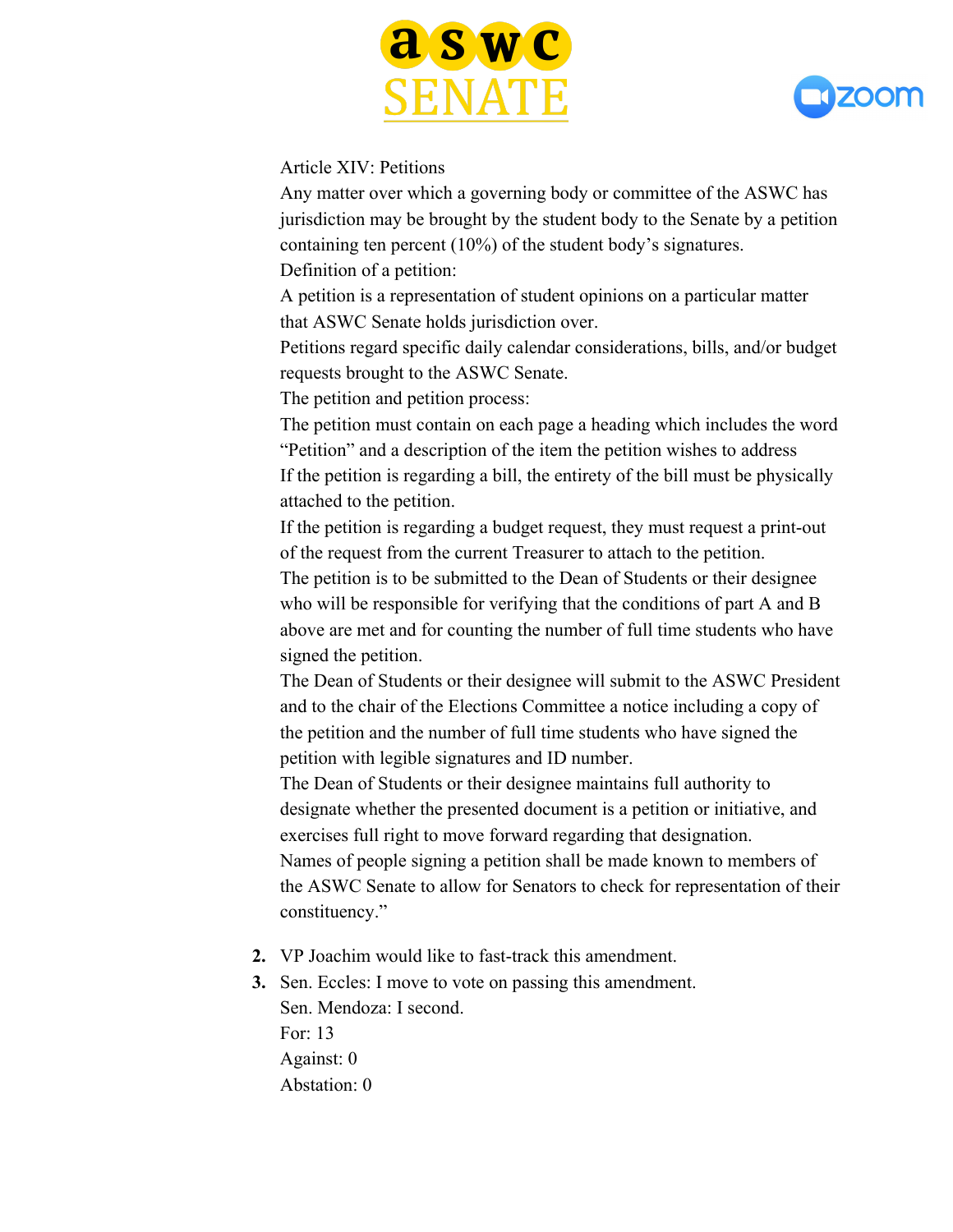



#### Article XIV: Petitions

Any matter over which a governing body or committee of the ASWC has jurisdiction may be brought by the student body to the Senate by a petition containing ten percent (10%) of the student body's signatures. Definition of a petition:

A petition is a representation of student opinions on a particular matter that ASWC Senate holds jurisdiction over.

Petitions regard specific daily calendar considerations, bills, and/or budget requests brought to the ASWC Senate.

The petition and petition process:

The petition must contain on each page a heading which includes the word "Petition" and a description of the item the petition wishes to address If the petition is regarding a bill, the entirety of the bill must be physically attached to the petition.

If the petition is regarding a budget request, they must request a print-out of the request from the current Treasurer to attach to the petition.

The petition is to be submitted to the Dean of Students or their designee who will be responsible for verifying that the conditions of part A and B above are met and for counting the number of full time students who have signed the petition.

The Dean of Students or their designee will submit to the ASWC President and to the chair of the Elections Committee a notice including a copy of the petition and the number of full time students who have signed the petition with legible signatures and ID number.

The Dean of Students or their designee maintains full authority to designate whether the presented document is a petition or initiative, and exercises full right to move forward regarding that designation. Names of people signing a petition shall be made known to members of the ASWC Senate to allow for Senators to check for representation of their constituency."

- **2.** VP Joachim would like to fast-track this amendment.
- **3.** Sen. Eccles: I move to vote on passing this amendment. Sen. Mendoza: I second. For: 13 Against: 0 Abstation: 0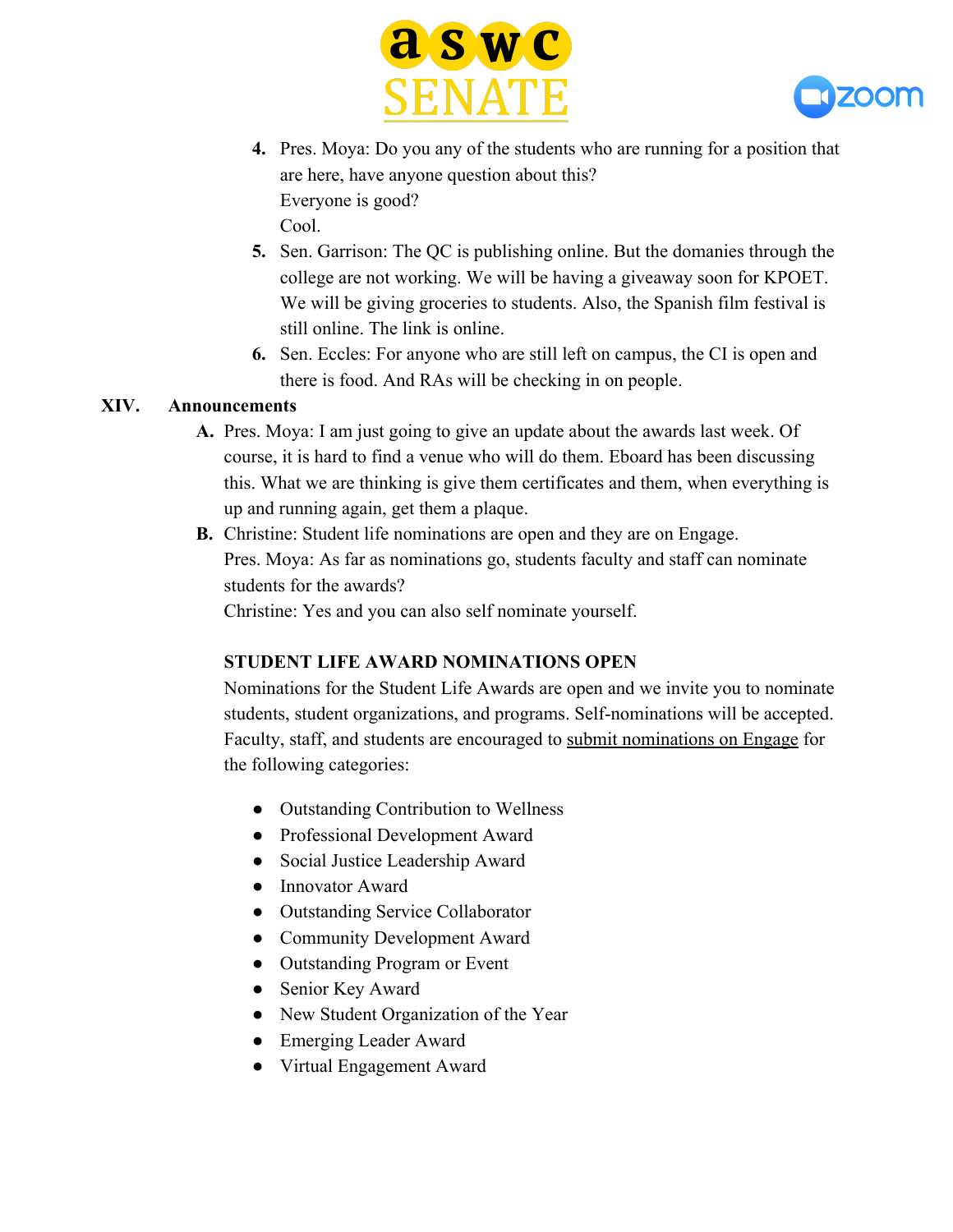



- **4.** Pres. Moya: Do you any of the students who are running for a position that are here, have anyone question about this? Everyone is good? Cool.
- **5.** Sen. Garrison: The QC is publishing online. But the domanies through the college are not working. We will be having a giveaway soon for KPOET. We will be giving groceries to students. Also, the Spanish film festival is still online. The link is online.
- **6.** Sen. Eccles: For anyone who are still left on campus, the CI is open and there is food. And RAs will be checking in on people.

#### **XIV. Announcements**

- **A.** Pres. Moya: I am just going to give an update about the awards last week. Of course, it is hard to find a venue who will do them. Eboard has been discussing this. What we are thinking is give them certificates and them, when everything is up and running again, get them a plaque.
- **B.** Christine: Student life nominations are open and they are on Engage. Pres. Moya: As far as nominations go, students faculty and staff can nominate students for the awards?

Christine: Yes and you can also self nominate yourself.

#### **STUDENT LIFE AWARD NOMINATIONS OPEN**

Nominations for the Student Life Awards are open and we invite you to nominate students, student organizations, and programs. Self-nominations will be accepted. Faculty, staff, and students are encouraged to submit nominations on Engage for the following categories:

- Outstanding Contribution to Wellness
- Professional Development Award
- Social Justice Leadership Award
- Innovator Award
- Outstanding Service Collaborator
- Community Development Award
- Outstanding Program or Event
- Senior Key Award
- New Student Organization of the Year
- Emerging Leader Award
- Virtual Engagement Award